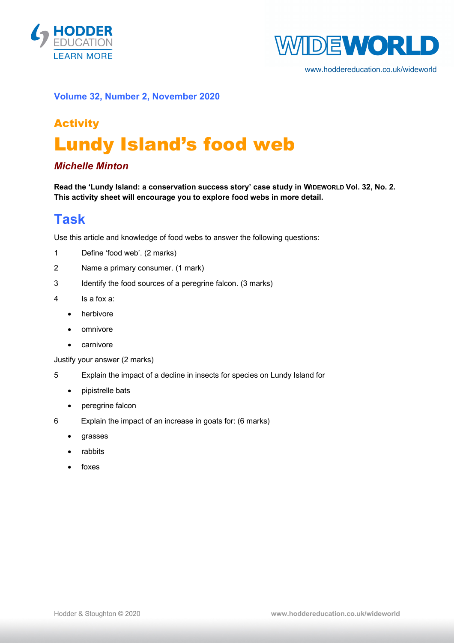



www.hoddereducation.co.uk/wideworld

### **Volume 32, Number 2, November 2020**

# Activity Lundy Island's food web

### *Michelle Minton*

**Read the 'Lundy Island: a conservation success story' case study in WIDEWORLD Vol. 32, No. 2. This activity sheet will encourage you to explore food webs in more detail.**

### **Task**

Use this article and knowledge of food webs to answer the following questions:

- 1 Define 'food web'. (2 marks)
- 2 Name a primary consumer. (1 mark)
- 3 Identify the food sources of a peregrine falcon. (3 marks)
- 4 Is a fox a:
	- herbivore
	- omnivore
	- carnivore

Justify your answer (2 marks)

- 5 Explain the impact of a decline in insects for species on Lundy Island for
	- pipistrelle bats
	- peregrine falcon
- 6 Explain the impact of an increase in goats for: (6 marks)
	- grasses
	- rabbits
	- foxes